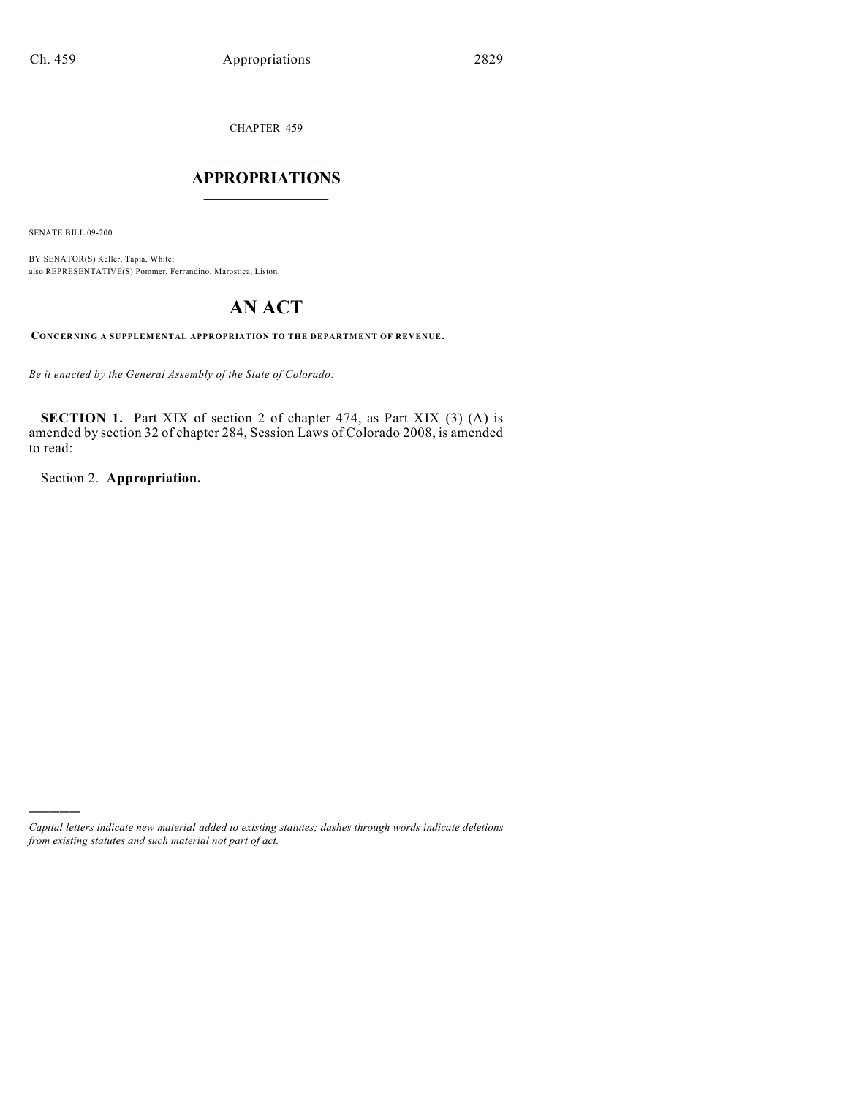CHAPTER 459

# $\overline{\phantom{a}}$  . The set of the set of the set of the set of the set of the set of the set of the set of the set of the set of the set of the set of the set of the set of the set of the set of the set of the set of the set o **APPROPRIATIONS**  $\_$   $\_$   $\_$   $\_$   $\_$   $\_$   $\_$   $\_$

SENATE BILL 09-200

)))))

BY SENATOR(S) Keller, Tapia, White; also REPRESENTATIVE(S) Pommer, Ferrandino, Marostica, Liston.

# **AN ACT**

**CONCERNING A SUPPLEMENTAL APPROPRIATION TO THE DEPARTMENT OF REVENUE.**

*Be it enacted by the General Assembly of the State of Colorado:*

**SECTION 1.** Part XIX of section 2 of chapter 474, as Part XIX (3) (A) is amended by section 32 of chapter 284, Session Laws of Colorado 2008, is amended to read:

Section 2. **Appropriation.**

*Capital letters indicate new material added to existing statutes; dashes through words indicate deletions from existing statutes and such material not part of act.*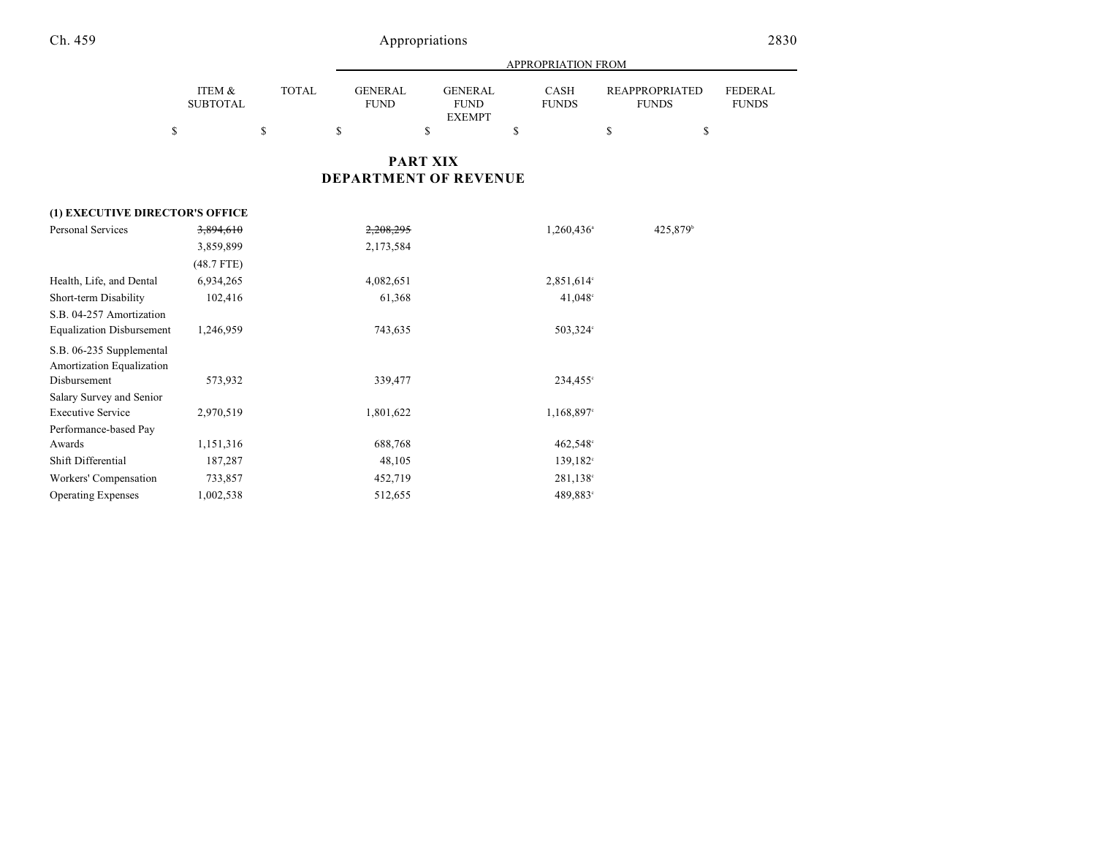|                                                       |                           |              | APPROPRIATION FROM            |                                                |                             |                                       |                                |  |  |  |  |
|-------------------------------------------------------|---------------------------|--------------|-------------------------------|------------------------------------------------|-----------------------------|---------------------------------------|--------------------------------|--|--|--|--|
|                                                       | ITEM &<br><b>SUBTOTAL</b> | <b>TOTAL</b> | <b>GENERAL</b><br><b>FUND</b> | <b>GENERAL</b><br><b>FUND</b><br><b>EXEMPT</b> | <b>CASH</b><br><b>FUNDS</b> | <b>REAPPROPRIATED</b><br><b>FUNDS</b> | <b>FEDERAL</b><br><b>FUNDS</b> |  |  |  |  |
| \$                                                    |                           | \$           | \$                            | \$                                             | \$                          | \$<br>\$                              |                                |  |  |  |  |
|                                                       |                           |              |                               | <b>PART XIX</b>                                |                             |                                       |                                |  |  |  |  |
|                                                       |                           |              |                               | <b>DEPARTMENT OF REVENUE</b>                   |                             |                                       |                                |  |  |  |  |
| (1) EXECUTIVE DIRECTOR'S OFFICE                       |                           |              |                               |                                                |                             |                                       |                                |  |  |  |  |
| <b>Personal Services</b>                              | 3,894,610                 |              | 2,208,295                     |                                                | 1,260,436 <sup>a</sup>      | 425,879 <sup>b</sup>                  |                                |  |  |  |  |
|                                                       | 3,859,899                 |              | 2,173,584                     |                                                |                             |                                       |                                |  |  |  |  |
|                                                       | $(48.7$ FTE)              |              |                               |                                                |                             |                                       |                                |  |  |  |  |
| Health, Life, and Dental                              | 6,934,265                 |              | 4,082,651                     |                                                | 2,851,614°                  |                                       |                                |  |  |  |  |
| Short-term Disability                                 | 102,416                   |              | 61,368                        |                                                | 41,048 <sup>c</sup>         |                                       |                                |  |  |  |  |
| S.B. 04-257 Amortization                              |                           |              |                               |                                                |                             |                                       |                                |  |  |  |  |
| <b>Equalization Disbursement</b>                      | 1,246,959                 |              | 743,635                       |                                                | 503,324°                    |                                       |                                |  |  |  |  |
| S.B. 06-235 Supplemental<br>Amortization Equalization |                           |              |                               |                                                |                             |                                       |                                |  |  |  |  |
| Disbursement                                          | 573,932                   |              | 339,477                       |                                                | 234,455°                    |                                       |                                |  |  |  |  |
| Salary Survey and Senior                              |                           |              |                               |                                                |                             |                                       |                                |  |  |  |  |
| <b>Executive Service</b>                              | 2,970,519                 |              | 1,801,622                     |                                                | 1,168,897°                  |                                       |                                |  |  |  |  |
| Performance-based Pay                                 |                           |              |                               |                                                |                             |                                       |                                |  |  |  |  |
| Awards                                                | 1,151,316                 |              | 688,768                       |                                                | 462,548°                    |                                       |                                |  |  |  |  |
| Shift Differential                                    | 187,287                   |              | 48,105                        |                                                | $139,182^{\circ}$           |                                       |                                |  |  |  |  |
| Workers' Compensation                                 | 733,857                   |              | 452,719                       |                                                | 281,138°                    |                                       |                                |  |  |  |  |
| <b>Operating Expenses</b>                             | 1,002,538                 |              | 512,655                       |                                                | 489,883°                    |                                       |                                |  |  |  |  |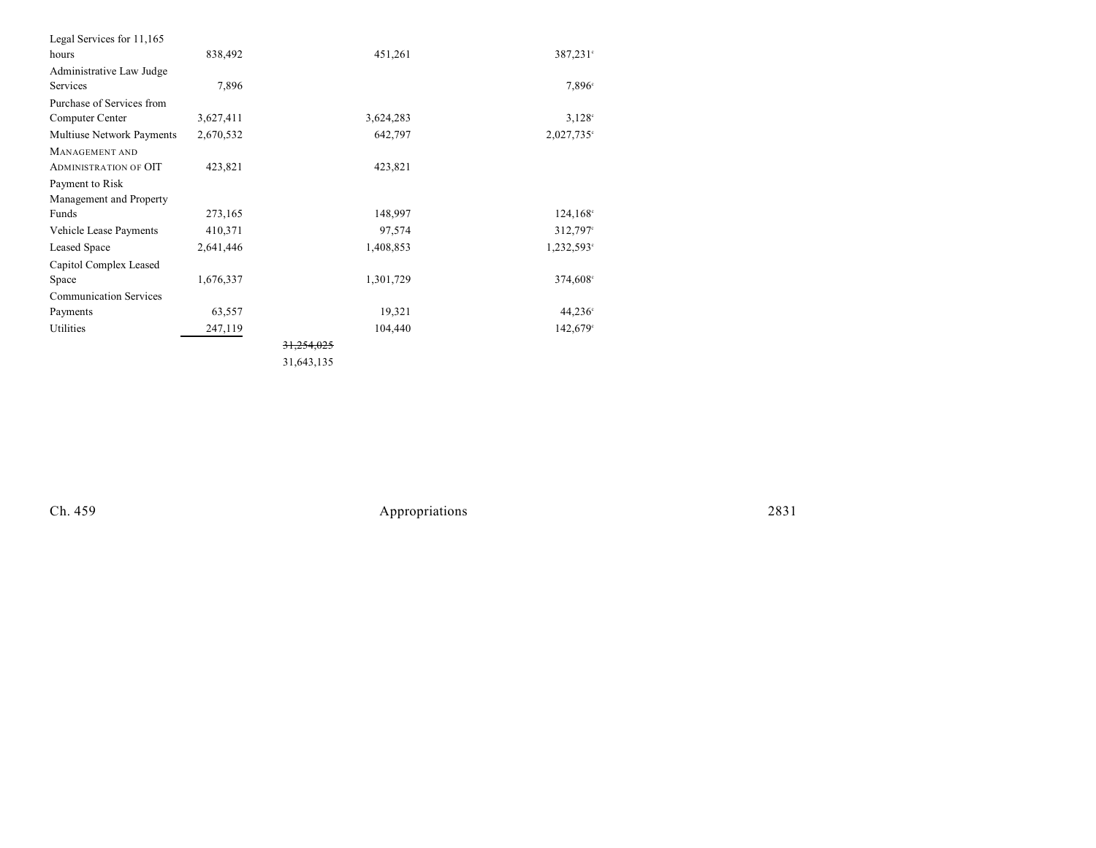| Legal Services for 11,165     |           |            |                        |
|-------------------------------|-----------|------------|------------------------|
| hours                         | 838,492   | 451,261    | 387,231°               |
| Administrative Law Judge      |           |            |                        |
| Services                      | 7,896     |            | 7,896 <sup>c</sup>     |
| Purchase of Services from     |           |            |                        |
| Computer Center               | 3,627,411 | 3,624,283  | $3,128^{\circ}$        |
| Multiuse Network Payments     | 2,670,532 | 642,797    | $2,027,735$ °          |
| MANAGEMENT AND                |           |            |                        |
| <b>ADMINISTRATION OF OIT</b>  | 423,821   | 423,821    |                        |
| Payment to Risk               |           |            |                        |
| Management and Property       |           |            |                        |
| Funds                         | 273,165   | 148,997    | $124,168^{\circ}$      |
| Vehicle Lease Payments        | 410,371   | 97,574     | 312,797°               |
| Leased Space                  | 2,641,446 | 1,408,853  | 1,232,593 <sup>c</sup> |
| Capitol Complex Leased        |           |            |                        |
| Space                         | 1,676,337 | 1,301,729  | 374,608°               |
| <b>Communication Services</b> |           |            |                        |
| Payments                      | 63,557    | 19,321     | $44,236^{\circ}$       |
| Utilities                     | 247,119   | 104,440    | 142,679°               |
|                               |           |            |                        |
|                               |           | 21.712.127 |                        |

31,643,135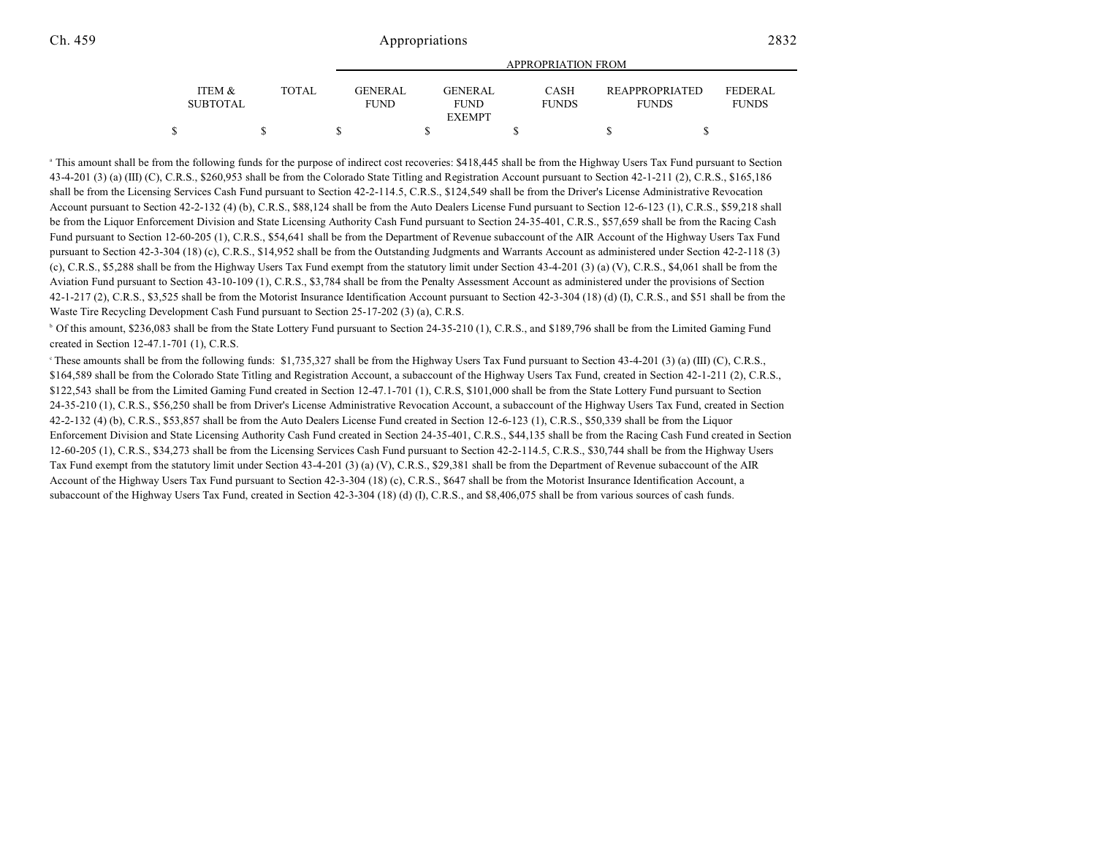|                           |       | APPROPRIATION FROM |                               |  |                        |  |                             |  |                                       |  |                          |
|---------------------------|-------|--------------------|-------------------------------|--|------------------------|--|-----------------------------|--|---------------------------------------|--|--------------------------|
| ITEM &<br><b>SUBTOTAL</b> | TOTAL |                    | <b>GENERAL</b><br><b>FUND</b> |  | GENERAL<br><b>FUND</b> |  | <b>CASH</b><br><b>FUNDS</b> |  | <b>REAPPROPRIATED</b><br><b>FUNDS</b> |  | FEDERAL.<br><b>FUNDS</b> |
|                           |       |                    |                               |  | <b>EXEMPT</b>          |  |                             |  |                                       |  |                          |
|                           |       |                    |                               |  |                        |  |                             |  |                                       |  |                          |

<sup>a</sup> This amount shall be from the following funds for the purpose of indirect cost recoveries: \$418,445 shall be from the Highway Users Tax Fund pursuant to Section 43-4-201 (3) (a) (III) (C), C.R.S., \$260,953 shall be from the Colorado State Titling and Registration Account pursuant to Section 42-1-211 (2), C.R.S., \$165,186 shall be from the Licensing Services Cash Fund pursuant to Section 42-2-114.5, C.R.S., \$124,549 shall be from the Driver's License Administrative Revocation Account pursuant to Section 42-2-132 (4) (b), C.R.S., \$88,124 shall be from the Auto Dealers License Fund pursuant to Section 12-6-123 (1), C.R.S., \$59,218 shall be from the Liquor Enforcement Division and State Licensing Authority Cash Fund pursuant to Section 24-35-401, C.R.S., \$57,659 shall be from the Racing Cash Fund pursuant to Section 12-60-205 (1), C.R.S., \$54,641 shall be from the Department of Revenue subaccount of the AIR Account of the Highway Users Tax Fund pursuant to Section 42-3-304 (18) (c), C.R.S., \$14,952 shall be from the Outstanding Judgments and Warrants Account as administered under Section 42-2-118 (3) (c), C.R.S., \$5,288 shall be from the Highway Users Tax Fund exempt from the statutory limit under Section 43-4-201 (3) (a) (V), C.R.S., \$4,061 shall be from the Aviation Fund pursuant to Section 43-10-109 (1), C.R.S., \$3,784 shall be from the Penalty Assessment Account as administered under the provisions of Section 42-1-217 (2), C.R.S., \$3,525 shall be from the Motorist Insurance Identification Account pursuant to Section 42-3-304 (18) (d) (I), C.R.S., and \$51 shall be from the Waste Tire Recycling Development Cash Fund pursuant to Section 25-17-202 (3) (a), C.R.S.

<sup>b</sup> Of this amount, \$236,083 shall be from the State Lottery Fund pursuant to Section 24-35-210 (1), C.R.S., and \$189,796 shall be from the Limited Gaming Fund created in Section 12-47.1-701 (1), C.R.S.

These amounts shall be from the following funds:  $$1,735,327$  shall be from the Highway Users Tax Fund pursuant to Section 43-4-201 (3) (a) (III) (C), C.R.S., \$164,589 shall be from the Colorado State Titling and Registration Account, a subaccount of the Highway Users Tax Fund, created in Section 42-1-211 (2), C.R.S., \$122,543 shall be from the Limited Gaming Fund created in Section 12-47.1-701 (1), C.R.S, \$101,000 shall be from the State Lottery Fund pursuant to Section 24-35-210 (1), C.R.S., \$56,250 shall be from Driver's License Administrative Revocation Account, a subaccount of the Highway Users Tax Fund, created in Section 42-2-132 (4) (b), C.R.S., \$53,857 shall be from the Auto Dealers License Fund created in Section 12-6-123 (1), C.R.S., \$50,339 shall be from the Liquor Enforcement Division and State Licensing Authority Cash Fund created in Section 24-35-401, C.R.S., \$44,135 shall be from the Racing Cash Fund created in Section 12-60-205 (1), C.R.S., \$34,273 shall be from the Licensing Services Cash Fund pursuant to Section 42-2-114.5, C.R.S., \$30,744 shall be from the Highway Users Tax Fund exempt from the statutory limit under Section 43-4-201 (3) (a) (V), C.R.S., \$29,381 shall be from the Department of Revenue subaccount of the AIR Account of the Highway Users Tax Fund pursuant to Section 42-3-304 (18) (c), C.R.S., \$647 shall be from the Motorist Insurance Identification Account, a subaccount of the Highway Users Tax Fund, created in Section 42-3-304 (18) (d) (I), C.R.S., and \$8,406,075 shall be from various sources of cash funds.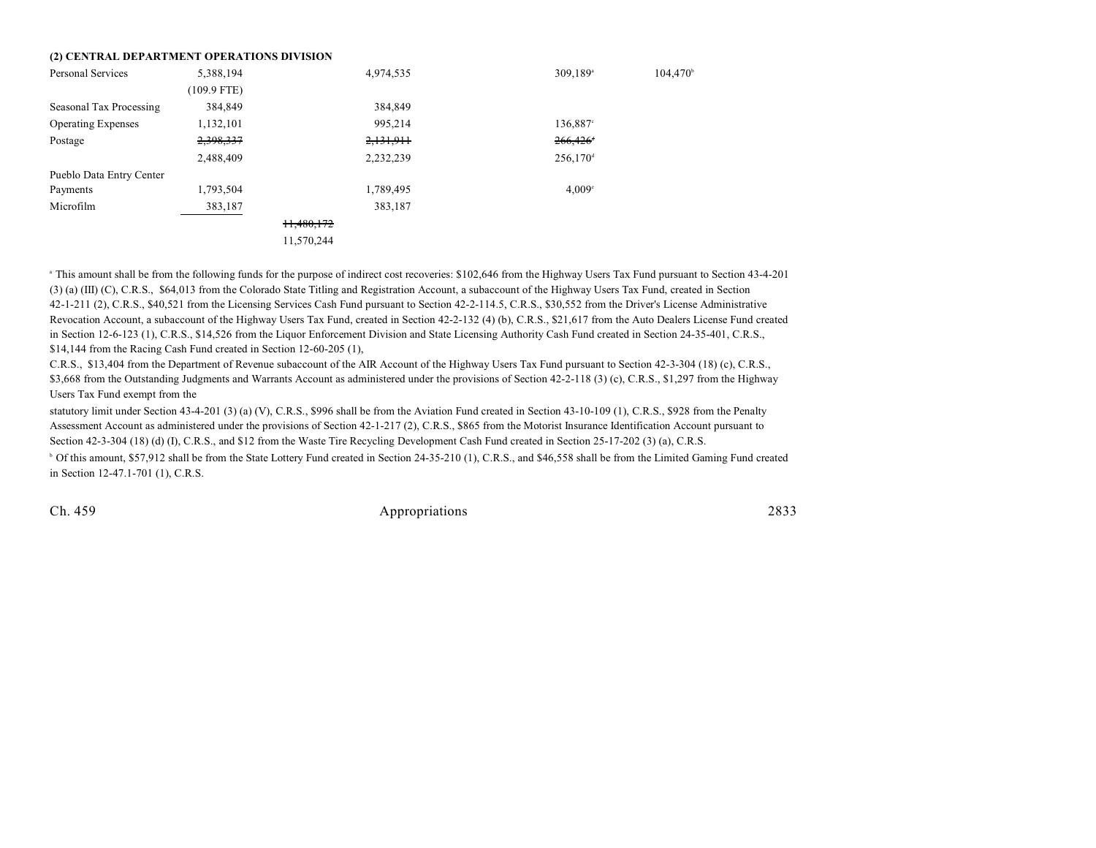#### **(2) CENTRAL DEPARTMENT OPERATIONS DIVISION**

| <b>Personal Services</b>  | 5,388,194     | 4,974,535  | 309,189 <sup>a</sup>   | $104,470^{\circ}$ |
|---------------------------|---------------|------------|------------------------|-------------------|
|                           |               |            |                        |                   |
|                           | $(109.9$ FTE) |            |                        |                   |
| Seasonal Tax Processing   | 384,849       | 384,849    |                        |                   |
| <b>Operating Expenses</b> | 1,132,101     | 995,214    | 136,887°               |                   |
| Postage                   | 2,398,337     | 2,131,911  | $266,426$ <sup>+</sup> |                   |
|                           | 2,488,409     | 2,232,239  | $256,170$ <sup>d</sup> |                   |
| Pueblo Data Entry Center  |               |            |                        |                   |
| Payments                  | 1,793,504     | 1,789,495  | 4,009°                 |                   |
| Microfilm                 | 383,187       | 383,187    |                        |                   |
|                           |               | 11,480,172 |                        |                   |
|                           |               | 11,570,244 |                        |                   |

<sup>a</sup> This amount shall be from the following funds for the purpose of indirect cost recoveries: \$102,646 from the Highway Users Tax Fund pursuant to Section 43-4-201 (3) (a) (III) (C), C.R.S., \$64,013 from the Colorado State Titling and Registration Account, a subaccount of the Highway Users Tax Fund, created in Section 42-1-211 (2), C.R.S., \$40,521 from the Licensing Services Cash Fund pursuant to Section 42-2-114.5, C.R.S., \$30,552 from the Driver's License Administrative Revocation Account, a subaccount of the Highway Users Tax Fund, created in Section 42-2-132 (4) (b), C.R.S., \$21,617 from the Auto Dealers License Fund created in Section 12-6-123 (1), C.R.S., \$14,526 from the Liquor Enforcement Division and State Licensing Authority Cash Fund created in Section 24-35-401, C.R.S., \$14,144 from the Racing Cash Fund created in Section 12-60-205 (1),

C.R.S., \$13,404 from the Department of Revenue subaccount of the AIR Account of the Highway Users Tax Fund pursuant to Section 42-3-304 (18) (c), C.R.S., \$3,668 from the Outstanding Judgments and Warrants Account as administered under the provisions of Section 42-2-118 (3) (c), C.R.S., \$1,297 from the Highway Users Tax Fund exempt from the

statutory limit under Section 43-4-201 (3) (a) (V), C.R.S., \$996 shall be from the Aviation Fund created in Section 43-10-109 (1), C.R.S., \$928 from the Penalty Assessment Account as administered under the provisions of Section 42-1-217 (2), C.R.S., \$865 from the Motorist Insurance Identification Account pursuant to Section 42-3-304 (18) (d) (I), C.R.S., and \$12 from the Waste Tire Recycling Development Cash Fund created in Section 25-17-202 (3) (a), C.R.S.

<sup>b</sup> Of this amount, \$57,912 shall be from the State Lottery Fund created in Section 24-35-210 (1), C.R.S., and \$46,558 shall be from the Limited Gaming Fund created in Section 12-47.1-701 (1), C.R.S.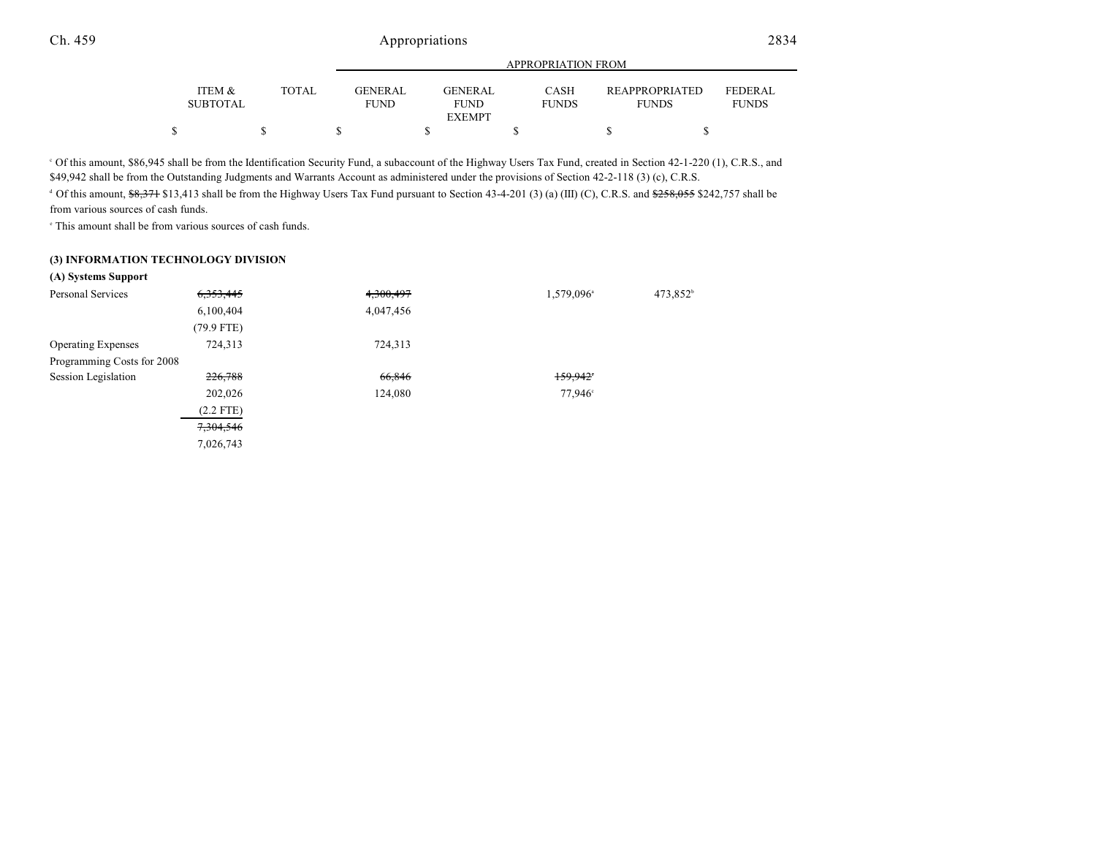|                 |       | APPROPRIATION FROM |  |               |  |              |  |                       |                |  |  |
|-----------------|-------|--------------------|--|---------------|--|--------------|--|-----------------------|----------------|--|--|
| ITEM &          | TOTAL | <b>GENERAL</b>     |  | GENERAL       |  | <b>CASH</b>  |  | <b>REAPPROPRIATED</b> | <b>FEDERAL</b> |  |  |
| <b>SUBTOTAL</b> |       | <b>FUND</b>        |  | <b>FUND</b>   |  | <b>FUNDS</b> |  | <b>FUNDS</b>          | <b>FUNDS</b>   |  |  |
|                 |       |                    |  | <b>EXEMPT</b> |  |              |  |                       |                |  |  |
|                 |       |                    |  |               |  |              |  |                       |                |  |  |

<sup>o</sup> Of this amount, \$86,945 shall be from the Identification Security Fund, a subaccount of the Highway Users Tax Fund, created in Section 42-1-220 (1), C.R.S., and \$49,942 shall be from the Outstanding Judgments and Warrants Account as administered under the provisions of Section 42-2-118 (3) (c), C.R.S.

 $\degree$  Of this amount,  $\frac{68,371}{1}$  \$13,413 shall be from the Highway Users Tax Fund pursuant to Section 43-4-201 (3) (a) (III) (C), C.R.S. and  $\frac{6258,055}{2258,055}$  \$242,757 shall be from various sources of cash funds.

 $\degree$  This amount shall be from various sources of cash funds.

#### **(3) INFORMATION TECHNOLOGY DIVISION**

| 6, 353, 445 | 4,300,497 | 1,579,096 <sup>a</sup> | 473,852 <sup>b</sup> |
|-------------|-----------|------------------------|----------------------|
| 6,100,404   | 4,047,456 |                        |                      |
| (79.9 FTE)  |           |                        |                      |
| 724,313     | 724,313   |                        |                      |
|             |           |                        |                      |
| 226,788     | 66,846    | 159.942                |                      |
| 202,026     | 124,080   | 77,946 <sup>c</sup>    |                      |
| $(2.2$ FTE) |           |                        |                      |
| 7,304,546   |           |                        |                      |
| 7,026,743   |           |                        |                      |
|             |           |                        |                      |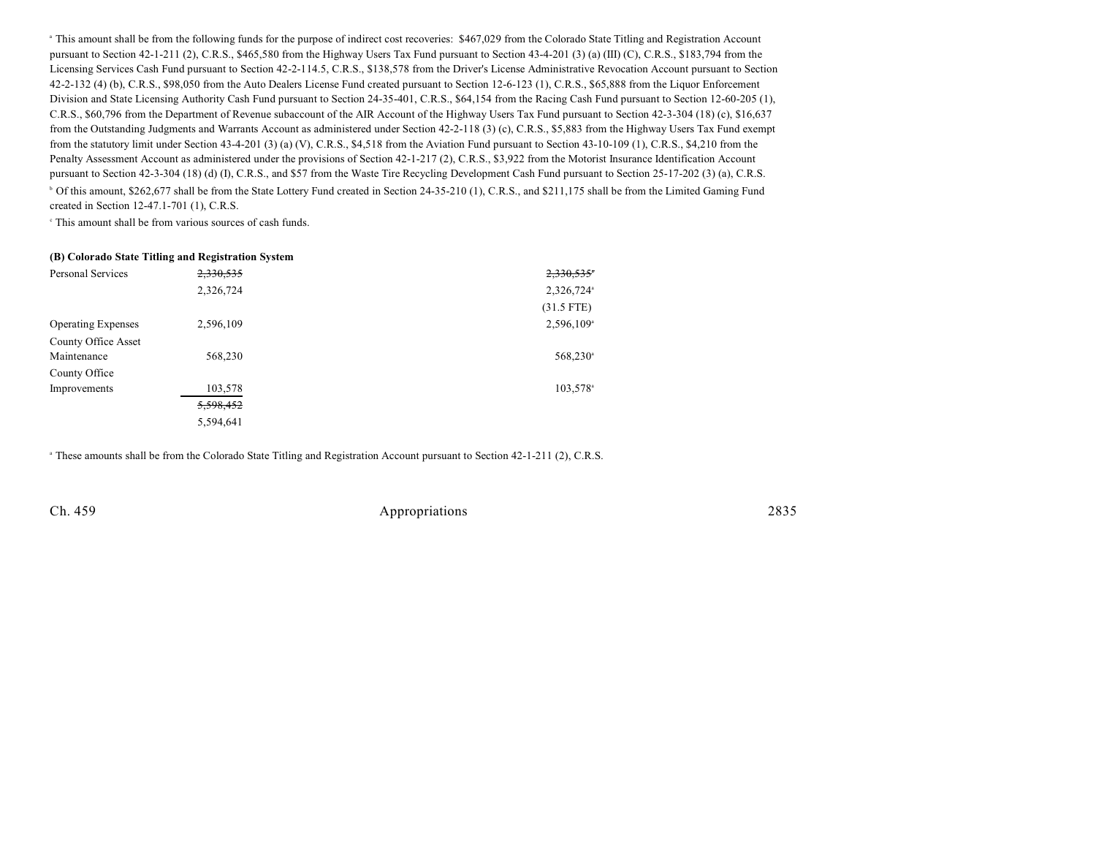<sup>a</sup> This amount shall be from the following funds for the purpose of indirect cost recoveries: \$467,029 from the Colorado State Titling and Registration Account pursuant to Section 42-1-211 (2), C.R.S., \$465,580 from the Highway Users Tax Fund pursuant to Section 43-4-201 (3) (a) (III) (C), C.R.S., \$183,794 from the Licensing Services Cash Fund pursuant to Section 42-2-114.5, C.R.S., \$138,578 from the Driver's License Administrative Revocation Account pursuant to Section 42-2-132 (4) (b), C.R.S., \$98,050 from the Auto Dealers License Fund created pursuant to Section 12-6-123 (1), C.R.S., \$65,888 from the Liquor Enforcement Division and State Licensing Authority Cash Fund pursuant to Section 24-35-401, C.R.S., \$64,154 from the Racing Cash Fund pursuant to Section 12-60-205 (1), C.R.S., \$60,796 from the Department of Revenue subaccount of the AIR Account of the Highway Users Tax Fund pursuant to Section 42-3-304 (18) (c), \$16,637 from the Outstanding Judgments and Warrants Account as administered under Section 42-2-118 (3) (c), C.R.S., \$5,883 from the Highway Users Tax Fund exempt from the statutory limit under Section 43-4-201 (3) (a) (V), C.R.S., \$4,518 from the Aviation Fund pursuant to Section 43-10-109 (1), C.R.S., \$4,210 from the Penalty Assessment Account as administered under the provisions of Section 42-1-217 (2), C.R.S., \$3,922 from the Motorist Insurance Identification Account pursuant to Section 42-3-304 (18) (d) (I), C.R.S., and \$57 from the Waste Tire Recycling Development Cash Fund pursuant to Section 25-17-202 (3) (a), C.R.S. <sup>b</sup> Of this amount, \$262,677 shall be from the State Lottery Fund created in Section 24-35-210 (1), C.R.S., and \$211,175 shall be from the Limited Gaming Fund created in Section 12-47.1-701 (1), C.R.S.

 $\cdot$  This amount shall be from various sources of cash funds.

#### **(B) Colorado State Titling and Registration System**

| Personal Services         | 2,330,535 | 2,330,535                |
|---------------------------|-----------|--------------------------|
|                           | 2,326,724 | 2,326,724ª               |
|                           |           | $(31.5$ FTE)             |
| <b>Operating Expenses</b> | 2,596,109 | $2,596,109$ <sup>a</sup> |
| County Office Asset       |           |                          |
| Maintenance               | 568,230   | 568,230 <sup>a</sup>     |
| County Office             |           |                          |
| Improvements              | 103,578   | 103,578 <sup>a</sup>     |
|                           | 5,598,452 |                          |
|                           | 5,594,641 |                          |

<sup>a</sup> These amounts shall be from the Colorado State Titling and Registration Account pursuant to Section 42-1-211 (2), C.R.S.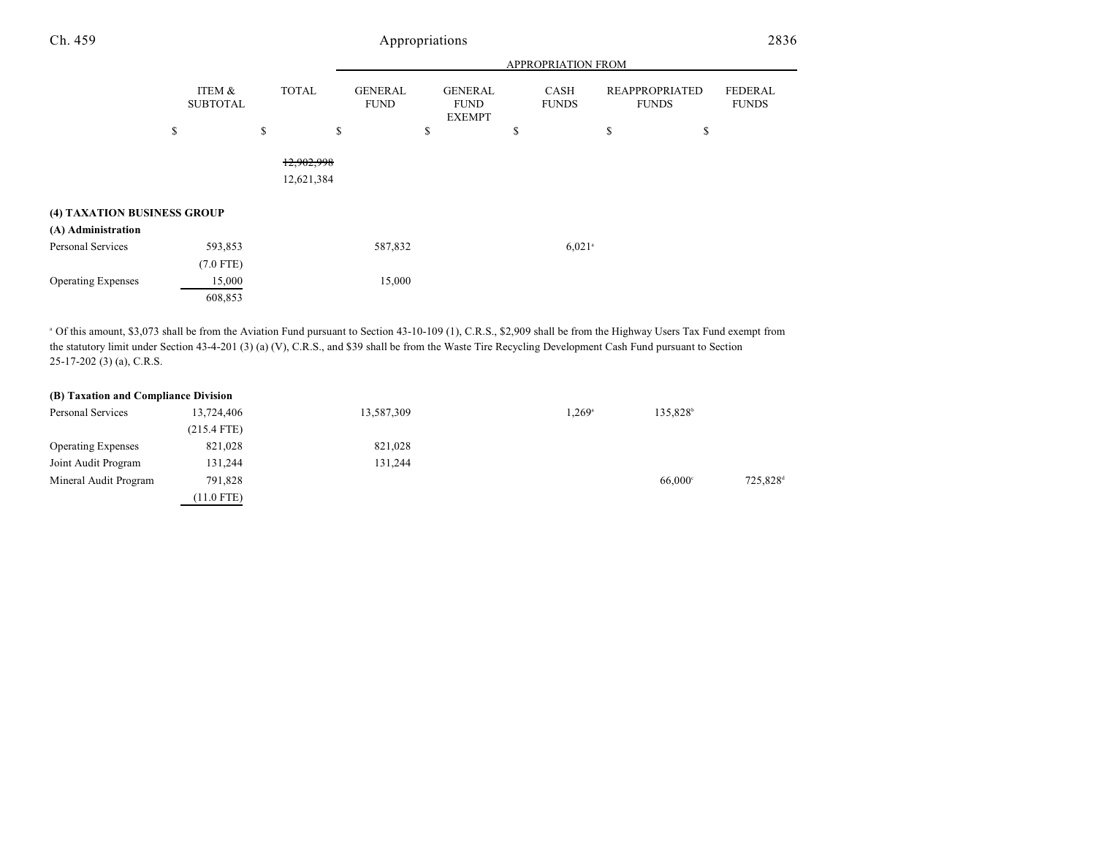|                             |                           |                          | APPROPRIATION FROM            |                                                |                      |                                       |                                |  |  |  |
|-----------------------------|---------------------------|--------------------------|-------------------------------|------------------------------------------------|----------------------|---------------------------------------|--------------------------------|--|--|--|
|                             | ITEM &<br><b>SUBTOTAL</b> | TOTAL                    | <b>GENERAL</b><br><b>FUND</b> | <b>GENERAL</b><br><b>FUND</b><br><b>EXEMPT</b> | CASH<br><b>FUNDS</b> | <b>REAPPROPRIATED</b><br><b>FUNDS</b> | <b>FEDERAL</b><br><b>FUNDS</b> |  |  |  |
|                             | \$                        | \$<br>\$                 |                               | \$                                             | \$                   | \$<br>\$                              |                                |  |  |  |
| (4) TAXATION BUSINESS GROUP |                           | 12,902,998<br>12,621,384 |                               |                                                |                      |                                       |                                |  |  |  |
| (A) Administration          |                           |                          |                               |                                                |                      |                                       |                                |  |  |  |
| Personal Services           | 593,853                   |                          | 587,832                       |                                                | $6,021$ <sup>a</sup> |                                       |                                |  |  |  |
|                             | $(7.0$ FTE)               |                          |                               |                                                |                      |                                       |                                |  |  |  |
| <b>Operating Expenses</b>   | 15,000                    |                          | 15,000                        |                                                |                      |                                       |                                |  |  |  |
|                             | 608,853                   |                          |                               |                                                |                      |                                       |                                |  |  |  |

<sup>a</sup> Of this amount, \$3,073 shall be from the Aviation Fund pursuant to Section 43-10-109 (1), C.R.S., \$2,909 shall be from the Highway Users Tax Fund exempt from the statutory limit under Section 43-4-201 (3) (a) (V), C.R.S., and \$39 shall be from the Waste Tire Recycling Development Cash Fund pursuant to Section 25-17-202 (3) (a), C.R.S.

| (B) Taxation and Compliance Division |               |            |                 |                      |                      |
|--------------------------------------|---------------|------------|-----------------|----------------------|----------------------|
| Personal Services                    | 13.724.406    | 13,587,309 | $1.269^{\circ}$ | 135.828 <sup>b</sup> |                      |
|                                      | $(215.4$ FTE) |            |                 |                      |                      |
| <b>Operating Expenses</b>            | 821,028       | 821,028    |                 |                      |                      |
| Joint Audit Program                  | 131,244       | 131,244    |                 |                      |                      |
| Mineral Audit Program                | 791.828       |            |                 | $66.000^{\circ}$     | 725.828 <sup>c</sup> |
|                                      | $(11.0$ FTE)  |            |                 |                      |                      |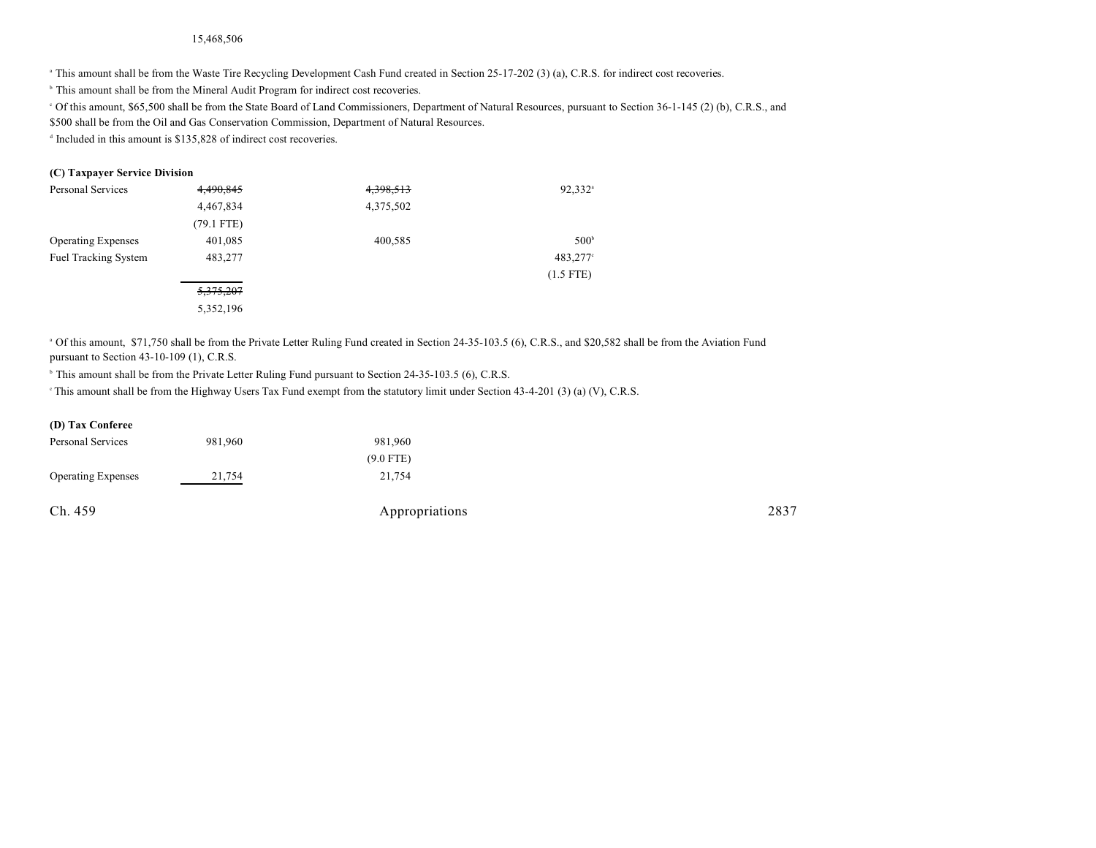#### 15,468,506

<sup>a</sup> This amount shall be from the Waste Tire Recycling Development Cash Fund created in Section 25-17-202 (3) (a), C.R.S. for indirect cost recoveries.

<sup>b</sup> This amount shall be from the Mineral Audit Program for indirect cost recoveries.

Of this amount, \$65,500 shall be from the State Board of Land Commissioners, Department of Natural Resources, pursuant to Section 36-1-145 (2) (b), C.R.S., and \$500 shall be from the Oil and Gas Conservation Commission, Department of Natural Resources.

 $\alpha$  Included in this amount is \$135,828 of indirect cost recoveries.

### **(C) Taxpayer Service Division**

| Personal Services           | 4,490,845            | 4,398,513 | 92,332 <sup>a</sup> |
|-----------------------------|----------------------|-----------|---------------------|
|                             | 4,467,834            | 4,375,502 |                     |
|                             | $(79.1$ FTE)         |           |                     |
| <b>Operating Expenses</b>   | 401,085              | 400,585   | 500 <sup>b</sup>    |
| <b>Fuel Tracking System</b> | 483,277              |           | 483,277°            |
|                             |                      |           | $(1.5$ FTE)         |
|                             | <del>5,375,207</del> |           |                     |
|                             | 5,352,196            |           |                     |

<sup>a</sup> Of this amount, \$71,750 shall be from the Private Letter Ruling Fund created in Section 24-35-103.5 (6), C.R.S., and \$20,582 shall be from the Aviation Fund pursuant to Section 43-10-109 (1), C.R.S.

<sup>b</sup> This amount shall be from the Private Letter Ruling Fund pursuant to Section 24-35-103.5 (6), C.R.S.

 $\degree$  This amount shall be from the Highway Users Tax Fund exempt from the statutory limit under Section 43-4-201 (3) (a) (V), C.R.S.

### **(D) Tax Conferee**

| Personal Services         | 981,960 | 981,960        |      |
|---------------------------|---------|----------------|------|
|                           |         | $(9.0$ FTE)    |      |
| <b>Operating Expenses</b> | 21,754  | 21,754         |      |
| Ch. 459                   |         | Appropriations | 2837 |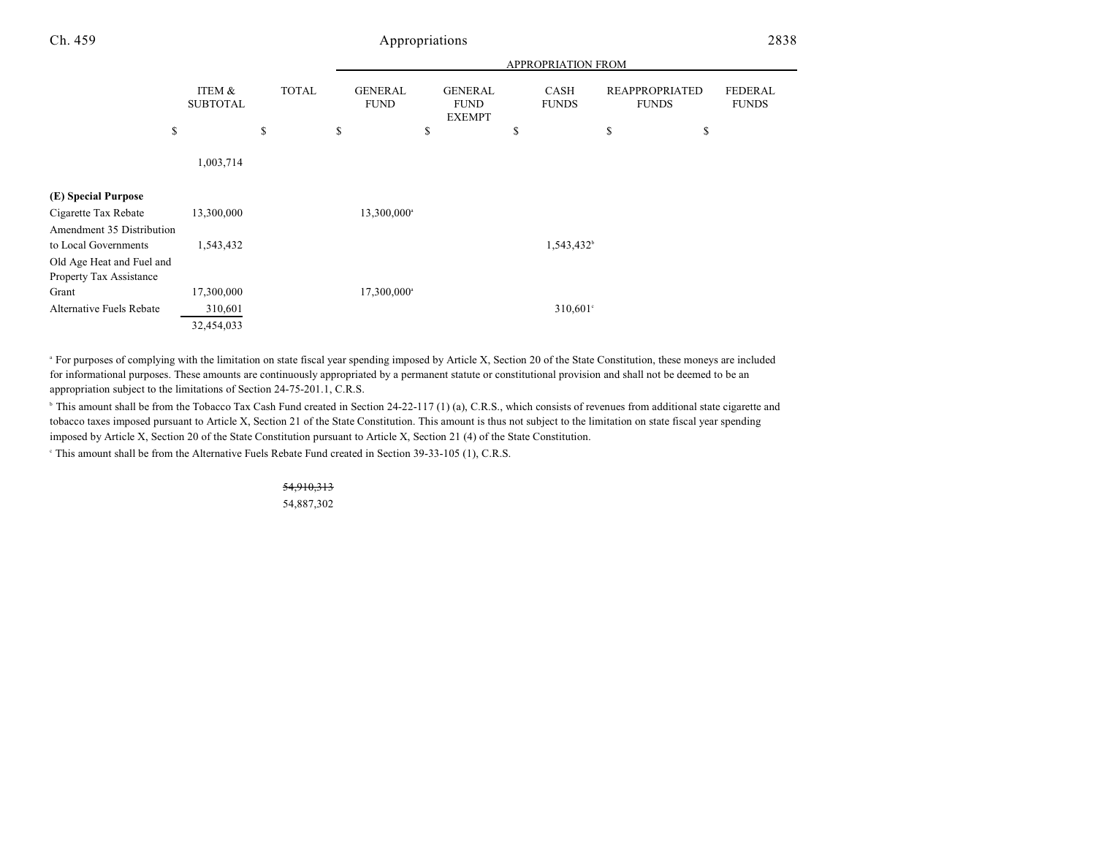|                                                      |                           |              |    | <b>APPROPRIATION FROM</b>     |    |                                                |   |                        |                                       |    |                                |  |
|------------------------------------------------------|---------------------------|--------------|----|-------------------------------|----|------------------------------------------------|---|------------------------|---------------------------------------|----|--------------------------------|--|
|                                                      | ITEM &<br><b>SUBTOTAL</b> | <b>TOTAL</b> |    | <b>GENERAL</b><br><b>FUND</b> |    | <b>GENERAL</b><br><b>FUND</b><br><b>EXEMPT</b> |   | CASH<br><b>FUNDS</b>   | <b>REAPPROPRIATED</b><br><b>FUNDS</b> |    | <b>FEDERAL</b><br><b>FUNDS</b> |  |
| \$                                                   |                           | \$           | \$ |                               | \$ |                                                | S |                        | \$                                    | \$ |                                |  |
|                                                      | 1,003,714                 |              |    |                               |    |                                                |   |                        |                                       |    |                                |  |
| (E) Special Purpose                                  |                           |              |    |                               |    |                                                |   |                        |                                       |    |                                |  |
| Cigarette Tax Rebate                                 | 13,300,000                |              |    | 13,300,000 <sup>a</sup>       |    |                                                |   |                        |                                       |    |                                |  |
| Amendment 35 Distribution                            |                           |              |    |                               |    |                                                |   |                        |                                       |    |                                |  |
| to Local Governments                                 | 1,543,432                 |              |    |                               |    |                                                |   | 1,543,432 <sup>b</sup> |                                       |    |                                |  |
| Old Age Heat and Fuel and<br>Property Tax Assistance |                           |              |    |                               |    |                                                |   |                        |                                       |    |                                |  |
| Grant                                                | 17,300,000                |              |    | 17,300,000 <sup>a</sup>       |    |                                                |   |                        |                                       |    |                                |  |
| Alternative Fuels Rebate                             | 310,601                   |              |    |                               |    |                                                |   | $310,601$ °            |                                       |    |                                |  |
|                                                      | 32,454,033                |              |    |                               |    |                                                |   |                        |                                       |    |                                |  |

<sup>a</sup> For purposes of complying with the limitation on state fiscal year spending imposed by Article X, Section 20 of the State Constitution, these moneys are included for informational purposes. These amounts are continuously appropriated by a permanent statute or constitutional provision and shall not be deemed to be an appropriation subject to the limitations of Section 24-75-201.1, C.R.S.

 $\degree$  This amount shall be from the Tobacco Tax Cash Fund created in Section 24-22-117 (1) (a), C.R.S., which consists of revenues from additional state cigarette and tobacco taxes imposed pursuant to Article X, Section 21 of the State Constitution. This amount is thus not subject to the limitation on state fiscal year spending imposed by Article X, Section 20 of the State Constitution pursuant to Article X, Section 21 (4) of the State Constitution.

This amount shall be from the Alternative Fuels Rebate Fund created in Section  $39-33-105$  (1), C.R.S.

### 54,910,313

54,887,302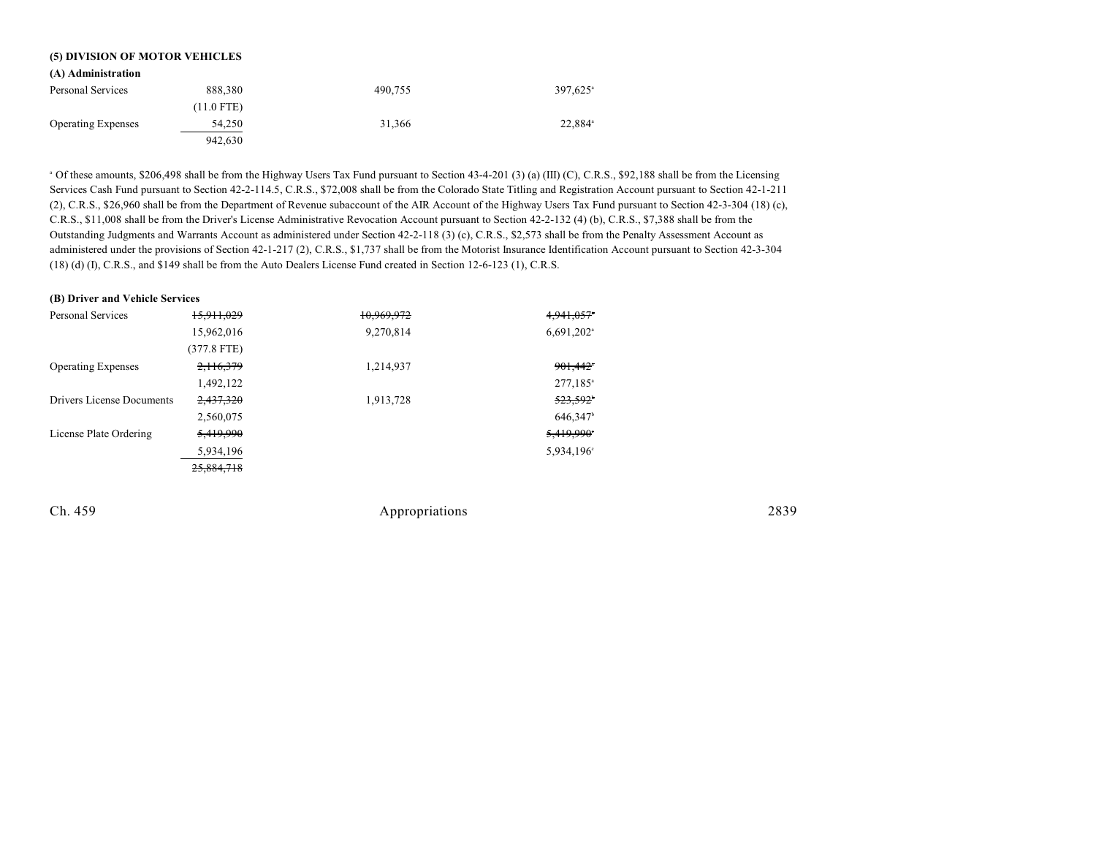| (5) DIVISION OF MOTOR VEHICLES |              |         |                        |  |  |
|--------------------------------|--------------|---------|------------------------|--|--|
| (A) Administration             |              |         |                        |  |  |
| Personal Services              | 888,380      | 490,755 | $397,625$ <sup>a</sup> |  |  |
|                                | $(11.0$ FTE) |         |                        |  |  |
| <b>Operating Expenses</b>      | 54,250       | 31.366  | 22.884 <sup>a</sup>    |  |  |
|                                | 942.630      |         |                        |  |  |

<sup>a</sup> Of these amounts, \$206,498 shall be from the Highway Users Tax Fund pursuant to Section 43-4-201 (3) (a) (III) (C), C.R.S., \$92,188 shall be from the Licensing Services Cash Fund pursuant to Section 42-2-114.5, C.R.S., \$72,008 shall be from the Colorado State Titling and Registration Account pursuant to Section 42-1-211 (2), C.R.S., \$26,960 shall be from the Department of Revenue subaccount of the AIR Account of the Highway Users Tax Fund pursuant to Section 42-3-304 (18) (c), C.R.S., \$11,008 shall be from the Driver's License Administrative Revocation Account pursuant to Section 42-2-132 (4) (b), C.R.S., \$7,388 shall be from the Outstanding Judgments and Warrants Account as administered under Section 42-2-118 (3) (c), C.R.S., \$2,573 shall be from the Penalty Assessment Account as administered under the provisions of Section 42-1-217 (2), C.R.S., \$1,737 shall be from the Motorist Insurance Identification Account pursuant to Section 42-3-304 (18) (d) (I), C.R.S., and \$149 shall be from the Auto Dealers License Fund created in Section 12-6-123 (1), C.R.S.

#### **(B) Driver and Vehicle Services**

| Personal Services         | 15,911,029    | 10,969,972 | 4,941,057*               |
|---------------------------|---------------|------------|--------------------------|
|                           | 15,962,016    | 9,270,814  | $6,691,202$ <sup>a</sup> |
|                           | $(377.8$ FTE) |            |                          |
| <b>Operating Expenses</b> | 2,116,379     | 1,214,937  | 901,442 <sup>*</sup>     |
|                           | 1,492,122     |            | $277,185$ <sup>a</sup>   |
| Drivers License Documents | 2,437,320     | 1,913,728  | 523,592                  |
|                           | 2,560,075     |            | 646,347 <sup>b</sup>     |
| License Plate Ordering    | 5,419,990     |            | 5,419,990                |
|                           | 5,934,196     |            | 5,934,196°               |
|                           | 25,884,718    |            |                          |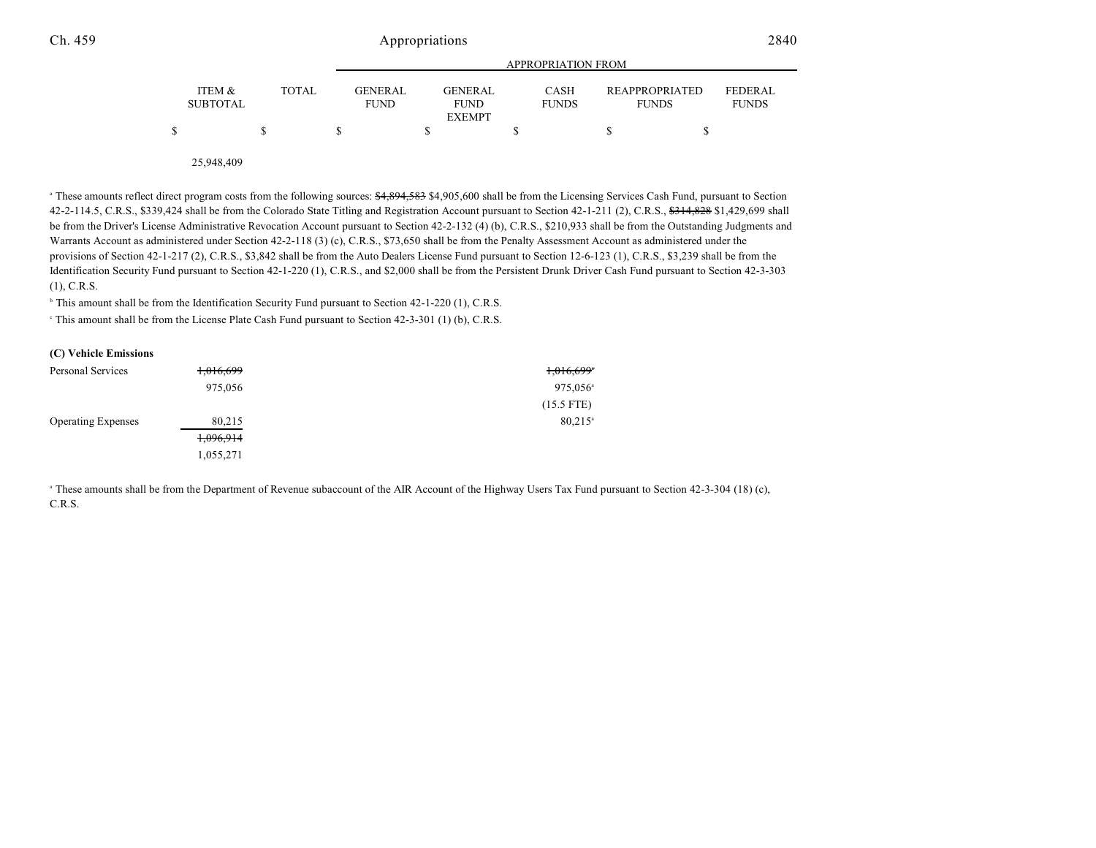|                           |        |                               | APPROPRIATION FROM                             |                             |                                       |                         |  |
|---------------------------|--------|-------------------------------|------------------------------------------------|-----------------------------|---------------------------------------|-------------------------|--|
| ITEM &<br><b>SUBTOTAL</b> | TOTAL. | <b>GENERAL</b><br><b>FUND</b> | <b>GENERAL</b><br><b>FUND</b><br><b>EXEMPT</b> | <b>CASH</b><br><b>FUNDS</b> | <b>REAPPROPRIATED</b><br><b>FUNDS</b> | FEDERAL<br><b>FUNDS</b> |  |
|                           |        |                               |                                                |                             |                                       |                         |  |
|                           |        |                               |                                                |                             |                                       |                         |  |

25,948,409

<sup>a</sup> These amounts reflect direct program costs from the following sources: \$4,894,583 \$4,905,600 shall be from the Licensing Services Cash Fund, pursuant to Section 42-2-114.5, C.R.S., \$339,424 shall be from the Colorado State Titling and Registration Account pursuant to Section 42-1-211 (2), C.R.S., \$314,828 \$1,429,699 shall be from the Driver's License Administrative Revocation Account pursuant to Section 42-2-132 (4) (b), C.R.S., \$210,933 shall be from the Outstanding Judgments and Warrants Account as administered under Section 42-2-118 (3) (c), C.R.S., \$73,650 shall be from the Penalty Assessment Account as administered under the provisions of Section 42-1-217 (2), C.R.S., \$3,842 shall be from the Auto Dealers License Fund pursuant to Section 12-6-123 (1), C.R.S., \$3,239 shall be from the Identification Security Fund pursuant to Section 42-1-220 (1), C.R.S., and \$2,000 shall be from the Persistent Drunk Driver Cash Fund pursuant to Section 42-3-303 (1), C.R.S.

 $\beta$  This amount shall be from the Identification Security Fund pursuant to Section 42-1-220 (1), C.R.S.

This amount shall be from the License Plate Cash Fund pursuant to Section  $42-3-301$  (1) (b), C.R.S.

| (C) Vehicle Emissions     |           |                          |
|---------------------------|-----------|--------------------------|
| <b>Personal Services</b>  | 1,016,699 | $1,016,699$ <sup>*</sup> |
|                           | 975,056   | $975,056^{\circ}$        |
|                           |           | $(15.5$ FTE)             |
| <b>Operating Expenses</b> | 80,215    | $80,215$ <sup>a</sup>    |
|                           | 1,096,914 |                          |
|                           | 1,055,271 |                          |

<sup>a</sup> These amounts shall be from the Department of Revenue subaccount of the AIR Account of the Highway Users Tax Fund pursuant to Section 42-3-304 (18) (c), C.R.S.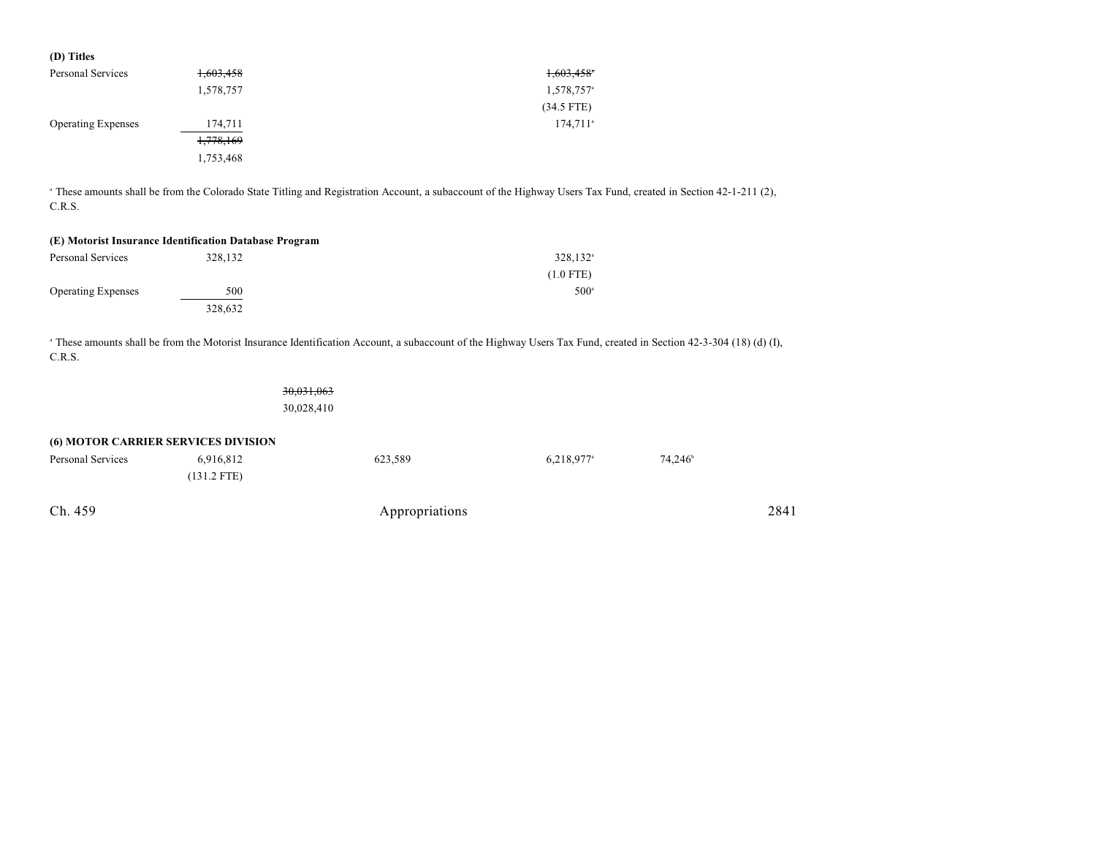| 1,603,458              |
|------------------------|
| 1,578,757 <sup>a</sup> |
| $(34.5$ FTE)           |
| 174,711 <sup>a</sup>   |
|                        |
|                        |
|                        |

<sup>a</sup> These amounts shall be from the Colorado State Titling and Registration Account, a subaccount of the Highway Users Tax Fund, created in Section 42-1-211 (2), C.R.S.

| (E) Motorist Insurance Identification Database Program |         |                      |  |  |  |
|--------------------------------------------------------|---------|----------------------|--|--|--|
| Personal Services                                      | 328,132 | 328.132 <sup>a</sup> |  |  |  |
|                                                        |         | $(1.0$ FTE)          |  |  |  |
| <b>Operating Expenses</b>                              | 500     | $500^{\circ}$        |  |  |  |
|                                                        | 328.632 |                      |  |  |  |

<sup>a</sup> These amounts shall be from the Motorist Insurance Identification Account, a subaccount of the Highway Users Tax Fund, created in Section 42-3-304 (18) (d) (I), C.R.S.

|                   |                                                  | 30,031,063<br>30,028,410 |                          |                  |      |
|-------------------|--------------------------------------------------|--------------------------|--------------------------|------------------|------|
| Personal Services | (6) MOTOR CARRIER SERVICES DIVISION<br>6,916,812 | 623,589                  | $6,218,977$ <sup>a</sup> | $74,246^{\circ}$ |      |
|                   | $(131.2$ FTE)                                    |                          |                          |                  |      |
| Ch. 459           |                                                  | Appropriations           |                          |                  | 2841 |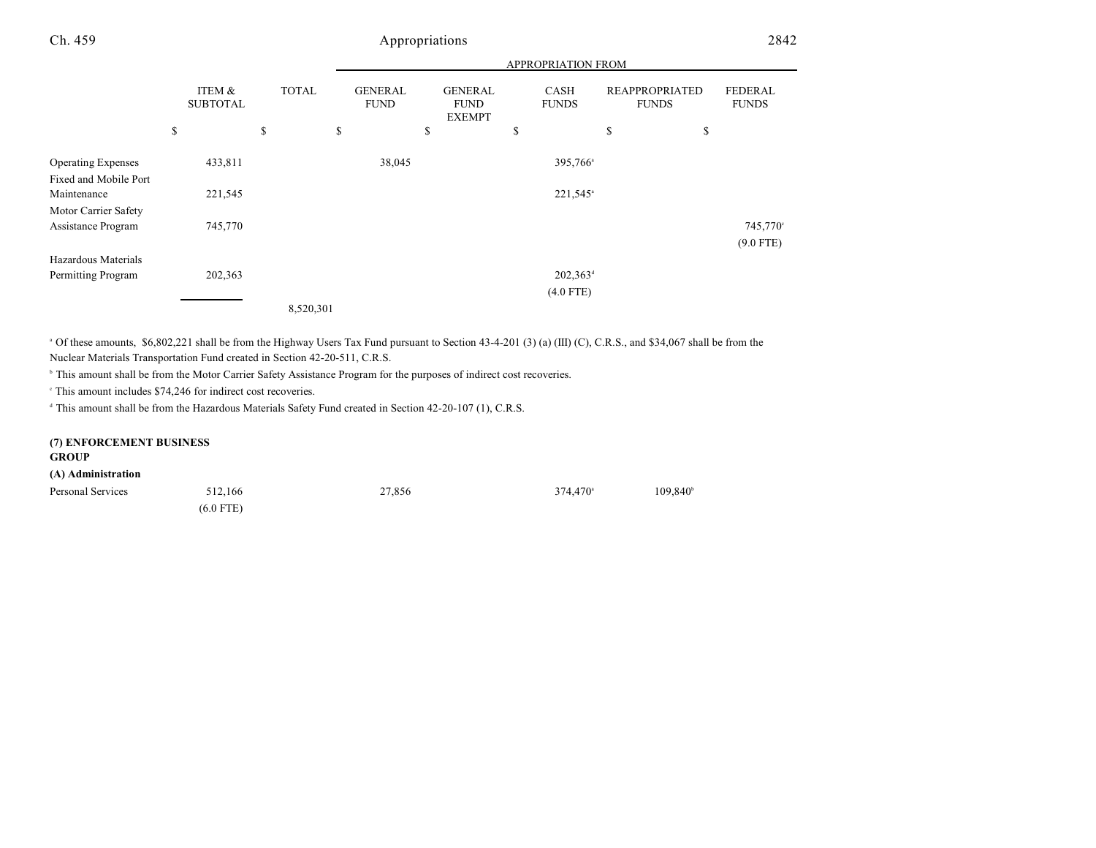|                                                    |                           |              |                               | APPROPRIATION FROM                             |                      |                                       |                                |
|----------------------------------------------------|---------------------------|--------------|-------------------------------|------------------------------------------------|----------------------|---------------------------------------|--------------------------------|
|                                                    | ITEM &<br><b>SUBTOTAL</b> | <b>TOTAL</b> | <b>GENERAL</b><br><b>FUND</b> | <b>GENERAL</b><br><b>FUND</b><br><b>EXEMPT</b> | CASH<br><b>FUNDS</b> | <b>REAPPROPRIATED</b><br><b>FUNDS</b> | <b>FEDERAL</b><br><b>FUNDS</b> |
|                                                    | \$                        | \$           | \$                            | \$                                             | \$                   | \$<br>\$                              |                                |
| <b>Operating Expenses</b><br>Fixed and Mobile Port | 433,811                   |              | 38,045                        |                                                | 395,766 <sup>a</sup> |                                       |                                |
| Maintenance<br>Motor Carrier Safety                | 221,545                   |              |                               |                                                | 221,545 <sup>a</sup> |                                       |                                |
| Assistance Program                                 | 745,770                   |              |                               |                                                |                      |                                       | 745,770°<br>$(9.0$ FTE)        |
| Hazardous Materials                                |                           |              |                               |                                                |                      |                                       |                                |
| Permitting Program                                 | 202,363                   |              |                               |                                                | $202,363^{\rm d}$    |                                       |                                |
|                                                    |                           |              |                               |                                                | $(4.0$ FTE)          |                                       |                                |
|                                                    |                           | 8,520,301    |                               |                                                |                      |                                       |                                |

<sup>a</sup> Of these amounts, \$6,802,221 shall be from the Highway Users Tax Fund pursuant to Section 43-4-201 (3) (a) (III) (C), C.R.S., and \$34,067 shall be from the Nuclear Materials Transportation Fund created in Section 42-20-511, C.R.S.

<sup>b</sup> This amount shall be from the Motor Carrier Safety Assistance Program for the purposes of indirect cost recoveries.

 $\degree$  This amount includes \$74,246 for indirect cost recoveries.

<sup>d</sup> This amount shall be from the Hazardous Materials Safety Fund created in Section 42-20-107 (1), C.R.S.

| (7) ENFORCEMENT BUSINESS |             |        |                   |                   |
|--------------------------|-------------|--------|-------------------|-------------------|
| <b>GROUP</b>             |             |        |                   |                   |
| (A) Administration       |             |        |                   |                   |
| Personal Services        | 512.166     | 27,856 | $374.470^{\circ}$ | $109.840^{\circ}$ |
|                          | $(6.0$ FTE) |        |                   |                   |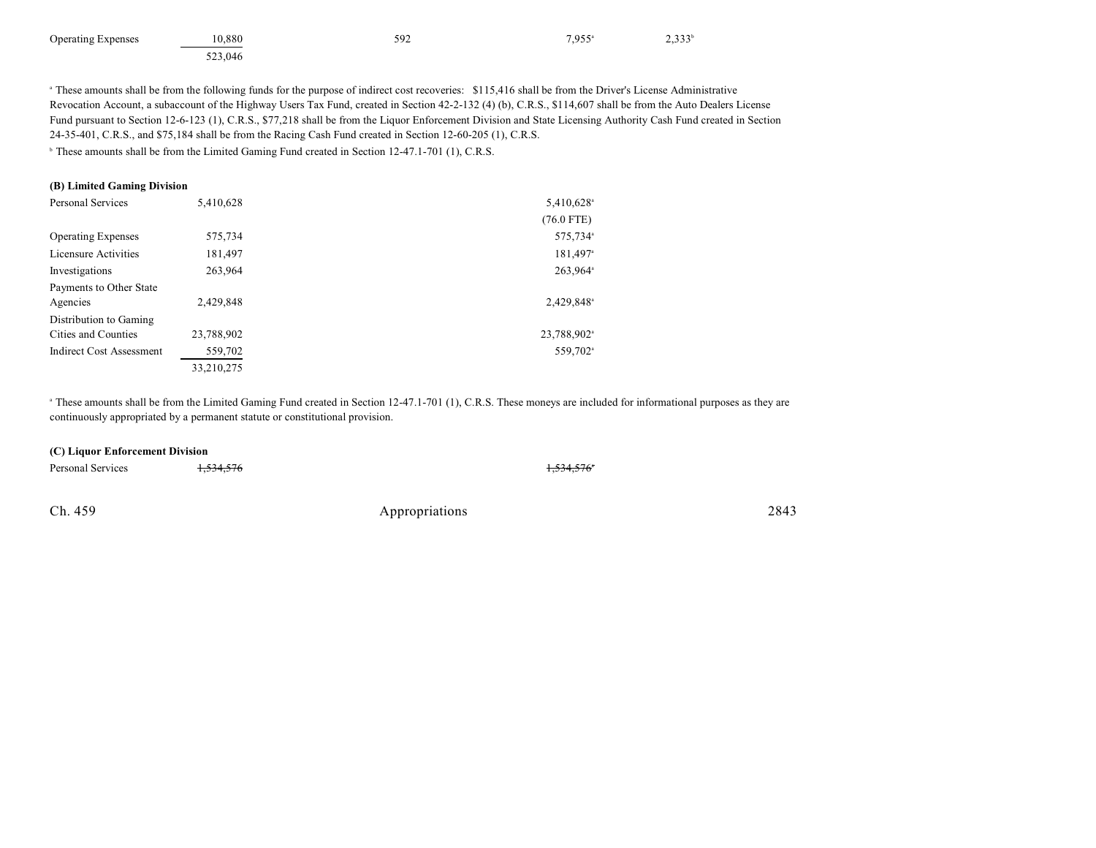| <b>Operating Expenses</b> | 10.880  | 592 | $7,955$ <sup>a</sup> | 2,333' |
|---------------------------|---------|-----|----------------------|--------|
|                           | 523,046 |     |                      |        |

<sup>a</sup> These amounts shall be from the following funds for the purpose of indirect cost recoveries: \$115,416 shall be from the Driver's License Administrative Revocation Account, a subaccount of the Highway Users Tax Fund, created in Section 42-2-132 (4) (b), C.R.S., \$114,607 shall be from the Auto Dealers License Fund pursuant to Section 12-6-123 (1), C.R.S., \$77,218 shall be from the Liquor Enforcement Division and State Licensing Authority Cash Fund created in Section 24-35-401, C.R.S., and \$75,184 shall be from the Racing Cash Fund created in Section 12-60-205 (1), C.R.S.

<sup>b</sup> These amounts shall be from the Limited Gaming Fund created in Section 12-47.1-701 (1), C.R.S.

### **(B) Limited Gaming Division**

| <b>Personal Services</b>        | 5,410,628  | 5,410,628 <sup>a</sup>  |
|---------------------------------|------------|-------------------------|
|                                 |            | $(76.0$ FTE)            |
| <b>Operating Expenses</b>       | 575,734    | 575,734 <sup>a</sup>    |
| Licensure Activities            | 181,497    | 181,497 <sup>a</sup>    |
| Investigations                  | 263,964    | 263,964 <sup>a</sup>    |
| Payments to Other State         |            |                         |
| Agencies                        | 2,429,848  | 2,429,848 <sup>a</sup>  |
| Distribution to Gaming          |            |                         |
| Cities and Counties             | 23,788,902 | 23,788,902 <sup>a</sup> |
| <b>Indirect Cost Assessment</b> | 559,702    | 559,702 <sup>a</sup>    |
|                                 | 33,210,275 |                         |

<sup>a</sup> These amounts shall be from the Limited Gaming Fund created in Section 12-47.1-701 (1), C.R.S. These moneys are included for informational purposes as they are continuously appropriated by a permanent statute or constitutional provision.

#### **(C) Liquor Enforcement Division**

| Personal Services | <del>1,534,576</del> | <del>1,534,576</del> * |
|-------------------|----------------------|------------------------|
|                   |                      |                        |
|                   |                      |                        |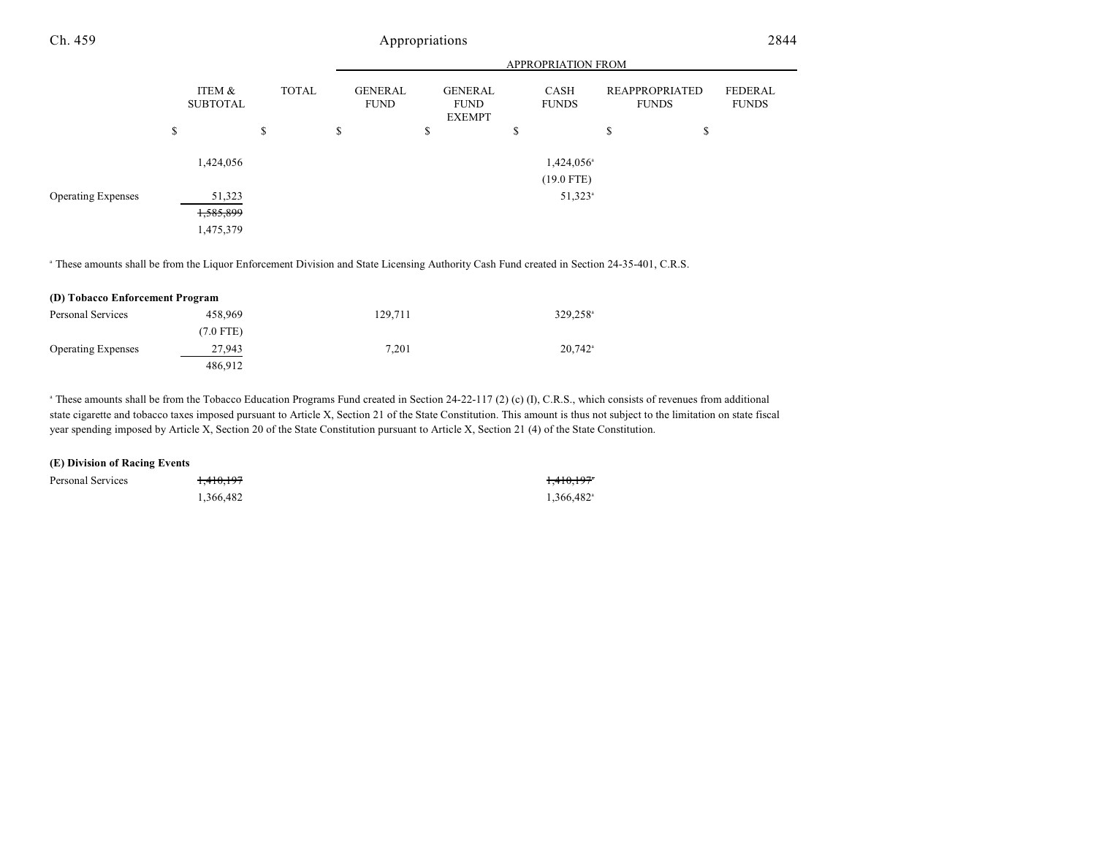|                           |                                  |              | <b>APPROPRIATION FROM</b>     |                                                |                                        |                                |                                |  |
|---------------------------|----------------------------------|--------------|-------------------------------|------------------------------------------------|----------------------------------------|--------------------------------|--------------------------------|--|
|                           | ITEM &<br><b>SUBTOTAL</b>        | <b>TOTAL</b> | <b>GENERAL</b><br><b>FUND</b> | <b>GENERAL</b><br><b>FUND</b><br><b>EXEMPT</b> | CASH<br><b>FUNDS</b>                   | REAPPROPRIATED<br><b>FUNDS</b> | <b>FEDERAL</b><br><b>FUNDS</b> |  |
|                           | \$                               | \$           | \$                            | \$                                             | \$                                     | \$<br>\$                       |                                |  |
|                           | 1,424,056                        |              |                               |                                                | 1,424,056 <sup>a</sup><br>$(19.0$ FTE) |                                |                                |  |
| <b>Operating Expenses</b> | 51,323<br>1,585,899<br>1,475,379 |              |                               |                                                | $51,323$ <sup>a</sup>                  |                                |                                |  |

<sup>a</sup> These amounts shall be from the Liquor Enforcement Division and State Licensing Authority Cash Fund created in Section 24-35-401, C.R.S.

| (D) Tobacco Enforcement Program |           |         |                       |  |  |
|---------------------------------|-----------|---------|-----------------------|--|--|
| Personal Services               | 458,969   | 129,711 | 329,258 <sup>a</sup>  |  |  |
|                                 | (7.0 FTE) |         |                       |  |  |
| <b>Operating Expenses</b>       | 27,943    | 7.201   | $20.742$ <sup>a</sup> |  |  |
|                                 | 486.912   |         |                       |  |  |

<sup>a</sup> These amounts shall be from the Tobacco Education Programs Fund created in Section 24-22-117 (2) (c) (I), C.R.S., which consists of revenues from additional state cigarette and tobacco taxes imposed pursuant to Article X, Section 21 of the State Constitution. This amount is thus not subject to the limitation on state fiscal year spending imposed by Article X, Section 20 of the State Constitution pursuant to Article X, Section 21 (4) of the State Constitution.

#### **(E) Division of Racing Events**

| Personal Services | <del>1,410,197</del> | <del>1,410,197</del> *   |
|-------------------|----------------------|--------------------------|
|                   | 1,366,482            | $1,366,482$ <sup>a</sup> |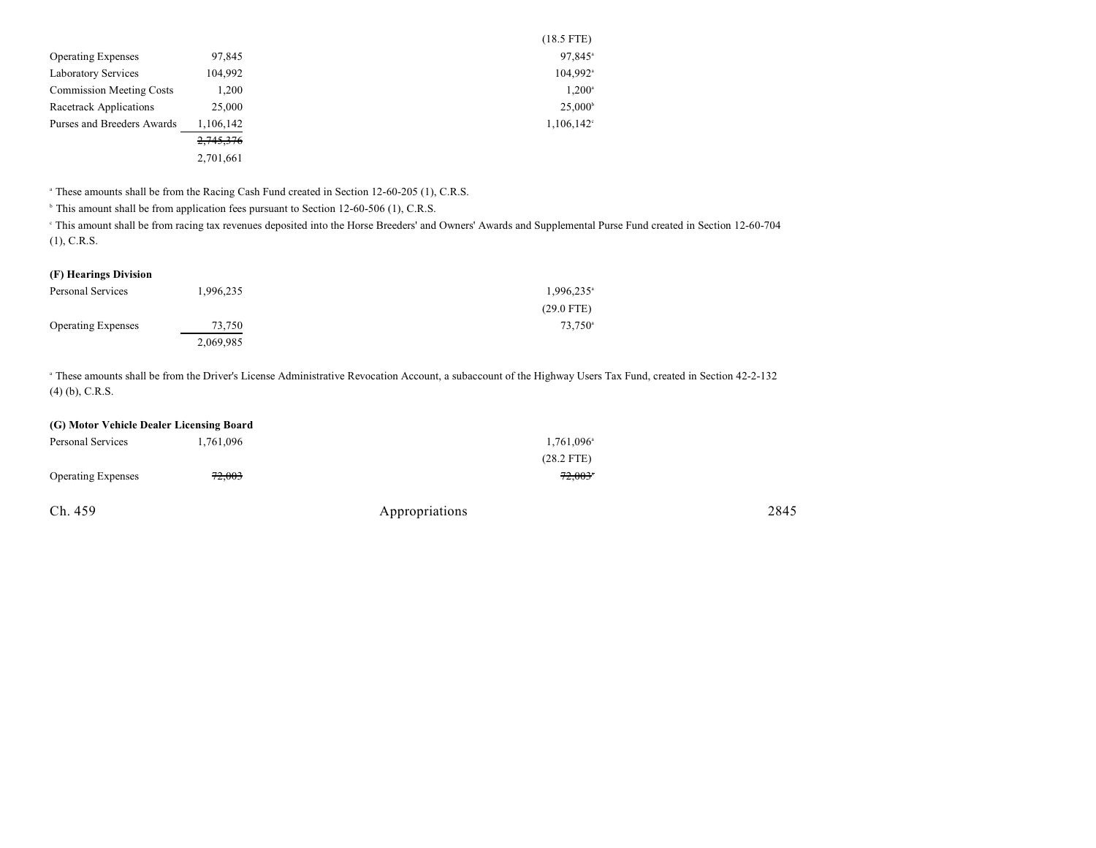|                                 |           | $(18.5$ FTE)         |
|---------------------------------|-----------|----------------------|
| <b>Operating Expenses</b>       | 97,845    | 97,845 <sup>a</sup>  |
| <b>Laboratory Services</b>      | 104,992   | 104,992 <sup>a</sup> |
| <b>Commission Meeting Costs</b> | 1,200     | $1,200^{\circ}$      |
| Racetrack Applications          | 25,000    | $25,000^{\circ}$     |
| Purses and Breeders Awards      | 1,106,142 | $1,106,142^{\circ}$  |
|                                 | 2,745,376 |                      |
|                                 | 2,701,661 |                      |

<sup>a</sup> These amounts shall be from the Racing Cash Fund created in Section 12-60-205 (1), C.R.S.

<sup>b</sup> This amount shall be from application fees pursuant to Section 12-60-506 (1), C.R.S.

 This amount shall be from racing tax revenues deposited into the Horse Breeders' and Owners' Awards and Supplemental Purse Fund created in Section 12-60-704 <sup>c</sup> (1), C.R.S.

#### **(F) Hearings Division**

| Personal Services         | 1,996,235 | 1,996,235 <sup>a</sup> |
|---------------------------|-----------|------------------------|
|                           |           | $(29.0$ FTE)           |
| <b>Operating Expenses</b> | 73.750    | 73.750 <sup>a</sup>    |
|                           | 2,069,985 |                        |

<sup>a</sup> These amounts shall be from the Driver's License Administrative Revocation Account, a subaccount of the Highway Users Tax Fund, created in Section 42-2-132 (4) (b), C.R.S.

## **(G) Motor Vehicle Dealer Licensing Board**

| Personal Services         | 1,761,096 | 1,761,096 <sup>a</sup> |      |
|---------------------------|-----------|------------------------|------|
|                           |           | $(28.2$ FTE)           |      |
| <b>Operating Expenses</b> | 72,003    | $72.003$ *             |      |
| Ch. 459                   |           | Appropriations         | 2845 |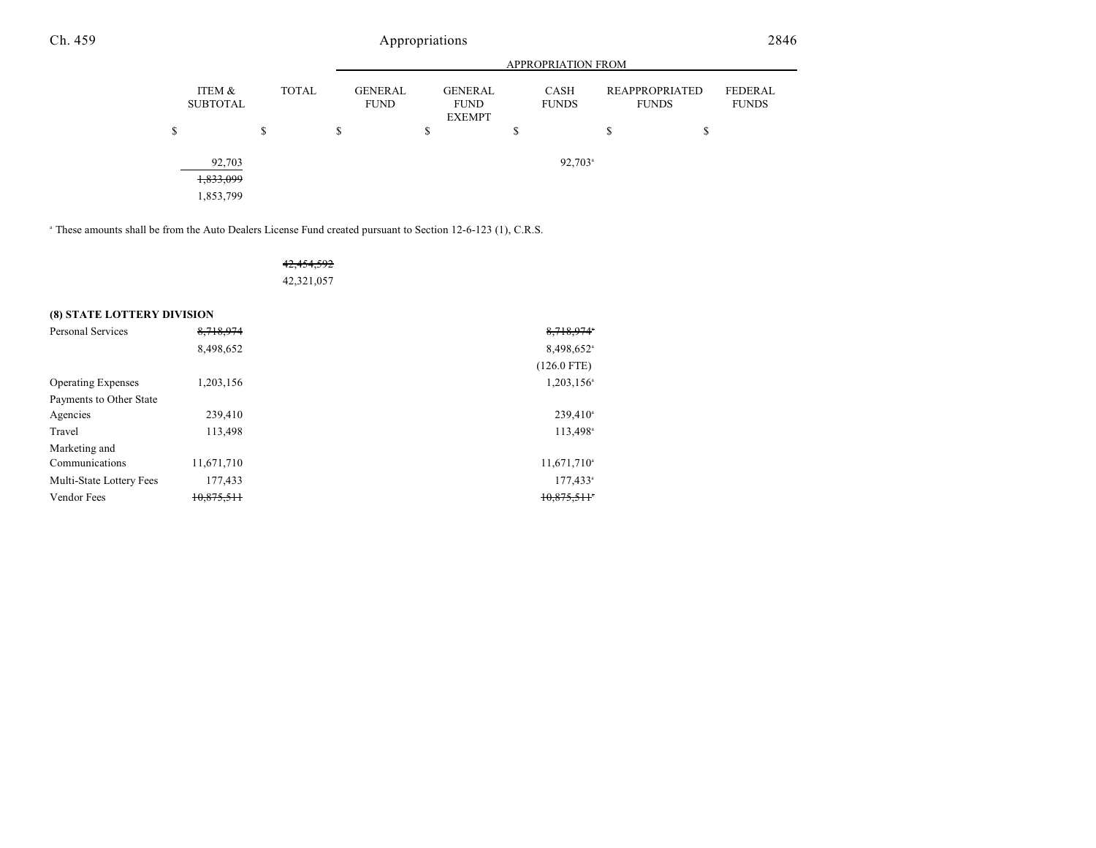|                                  |              |                               | <b>APPROPRIATION FROM</b> |                                                |   |                             |    |                                       |                                |
|----------------------------------|--------------|-------------------------------|---------------------------|------------------------------------------------|---|-----------------------------|----|---------------------------------------|--------------------------------|
| ITEM &<br><b>SUBTOTAL</b>        | <b>TOTAL</b> | <b>GENERAL</b><br><b>FUND</b> |                           | <b>GENERAL</b><br><b>FUND</b><br><b>EXEMPT</b> |   | <b>CASH</b><br><b>FUNDS</b> |    | <b>REAPPROPRIATED</b><br><b>FUNDS</b> | <b>FEDERAL</b><br><b>FUNDS</b> |
| S                                | \$           | \$                            | \$                        |                                                | S |                             | \$ | \$                                    |                                |
| 92,703<br>1,833,099<br>1,853,799 |              |                               |                           |                                                |   | $92,703$ <sup>a</sup>       |    |                                       |                                |

<sup>a</sup> These amounts shall be from the Auto Dealers License Fund created pursuant to Section 12-6-123 (1), C.R.S.

## 42,454,592 42,321,057

### **(8) STATE LOTTERY DIVISION**

| <b>Personal Services</b>  | 8,718,974  | 8,718,974                |
|---------------------------|------------|--------------------------|
|                           | 8,498,652  | 8,498,652 <sup>a</sup>   |
|                           |            | $(126.0$ FTE)            |
| <b>Operating Expenses</b> | 1,203,156  | $1,203,156$ <sup>a</sup> |
| Payments to Other State   |            |                          |
| Agencies                  | 239,410    | $239,410^a$              |
| Travel                    | 113,498    | 113,498 <sup>a</sup>     |
| Marketing and             |            |                          |
| Communications            | 11,671,710 | $11,671,710^{\circ}$     |
| Multi-State Lottery Fees  | 177,433    | $177,433^{\circ}$        |
| Vendor Fees               | 10,875,511 | 10,875,511               |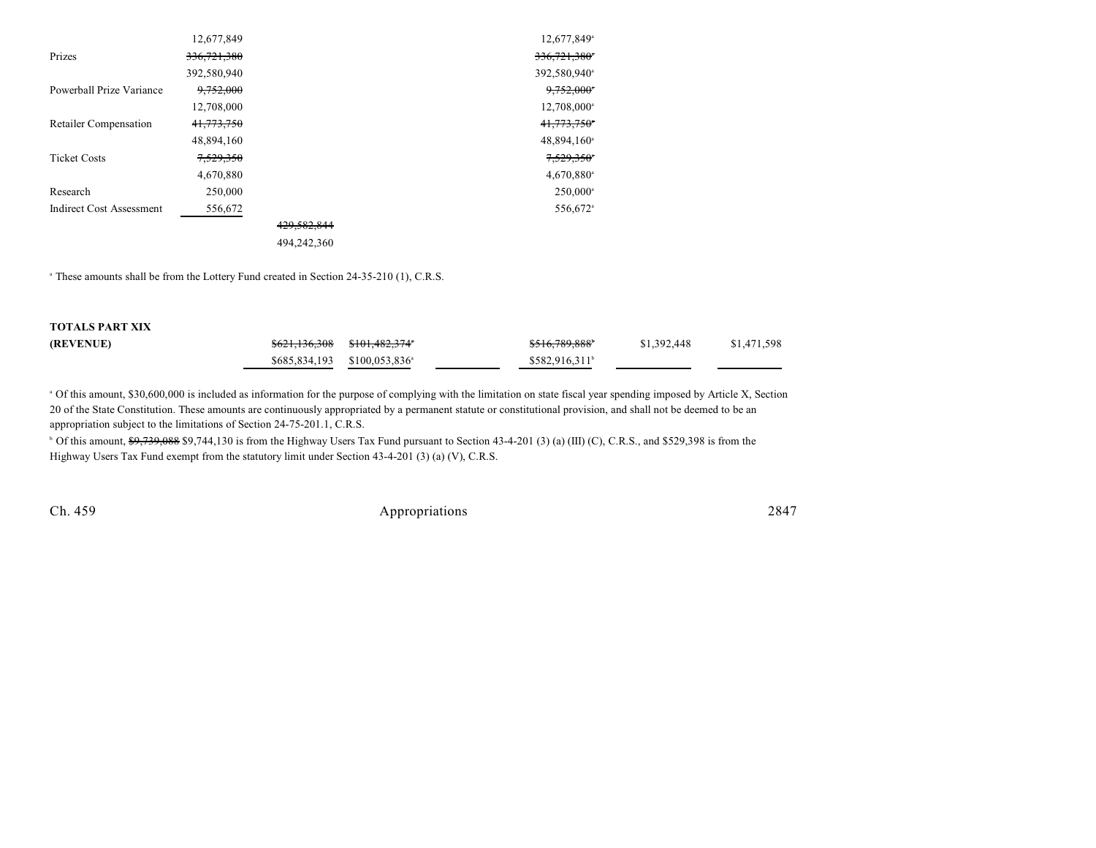|                                 | 12,677,849  |             | 12,677,849 <sup>a</sup>  |
|---------------------------------|-------------|-------------|--------------------------|
| Prizes                          | 336,721,380 |             | 336,721,380*             |
|                                 | 392,580,940 |             | 392,580,940 <sup>a</sup> |
| Powerball Prize Variance        | 9,752,000   |             | 9,752,000                |
|                                 | 12,708,000  |             | 12,708,000 <sup>a</sup>  |
| <b>Retailer Compensation</b>    | 41,773,750  |             | 41,773,750*              |
|                                 | 48,894,160  |             | 48,894,160 <sup>a</sup>  |
| <b>Ticket Costs</b>             | 7,529,350   |             | 7,529,350°               |
|                                 | 4,670,880   |             | $4,670,880$ <sup>a</sup> |
| Research                        | 250,000     |             | $250,000^{\circ}$        |
| <b>Indirect Cost Assessment</b> | 556,672     |             | 556,672 <sup>a</sup>     |
|                                 |             | 429,582,844 |                          |
|                                 |             | 494,242,360 |                          |

<sup>a</sup> These amounts shall be from the Lottery Fund created in Section 24-35-210 (1), C.R.S.

| <b>TOTALS PART XIX</b> |                                                     |                             |             |             |
|------------------------|-----------------------------------------------------|-----------------------------|-------------|-------------|
| (REVENUE)              | <del>\$621,136,308</del> <del>\$101,482,374</del> * | \$516,789,888 <sup>6</sup>  | \$1,392,448 | \$1,471,598 |
|                        | $$685.834.193$ $$100.053.836$ <sup>a</sup>          | $$582.916.311$ <sup>b</sup> |             |             |

<sup>a</sup> Of this amount, \$30,600,000 is included as information for the purpose of complying with the limitation on state fiscal year spending imposed by Article X, Section 20 of the State Constitution. These amounts are continuously appropriated by a permanent statute or constitutional provision, and shall not be deemed to be an appropriation subject to the limitations of Section 24-75-201.1, C.R.S.

<sup>b</sup> Of this amount, \$9,739,088 \$9,744,130 is from the Highway Users Tax Fund pursuant to Section 43-4-201 (3) (a) (III) (C), C.R.S., and \$529,398 is from the Highway Users Tax Fund exempt from the statutory limit under Section 43-4-201 (3) (a) (V), C.R.S.